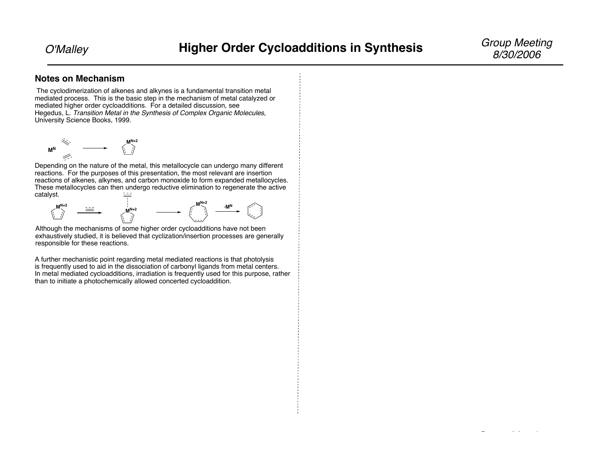Group Meeting

#### **Notes on Mechanism**

The cyclodimerization of alkenes and alkynes is a fundamental transition metal mediated process. This is the basic step in the mechanism of metal catalyzed or mediated higher order cycloadditions. For a detailed discussion, see Hegedus, L. Transition Metal in the Synthesis of Complex Organic Molecules, University Science Books, 1999.



Depending on the nature of the metal, this metallocycle can undergo many different reactions. For the purposes of this presentation, the most relevant are insertion reactions of alkenes, alkynes, and carbon monoxide to form expanded metallocycles. These metallocycles can then undergo reductive elimination to regenerate the active catalyst.



Although the mechanisms of some higher order cycloadditions have not been exhaustively studied, it is believed that cyclization/insertion processes are generally responsible for these reactions.

A further mechanistic point regarding metal mediated reactions is that photolysis is frequently used to aid in the dissociation of carbonyl ligands from metal centers. In metal mediated cycloadditions, irradiation is frequently used for this purpose, rather than to initiate a photochemically allowed concerted cycloaddition.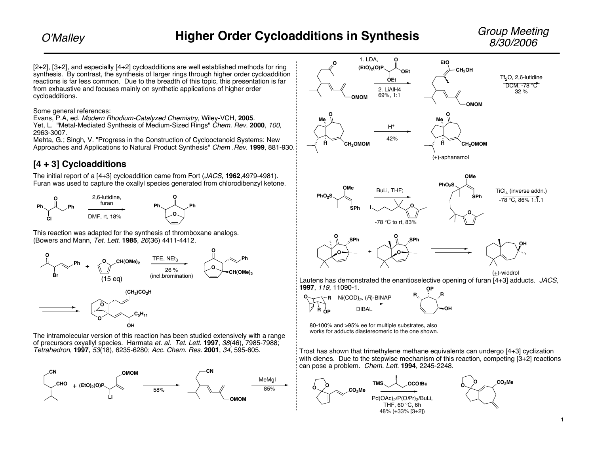Group Meeting

[2+2], [3+2], and especially [4+2] cycloadditions are well established methods for ring synthesis. By contrast, the synthesis of larger rings through higher order cycloaddition reactions is far less common. Due to the breadth of this topic, this presentation is far from exhaustive and focuses mainly on synthetic applications of higher order cycloadditions.

Some general references:

Evans, P.A, ed. Modern Rhodium-Catalyzed Chemistry, Wiley-VCH, **2005**.

Yet, L. "Metal-Mediated Synthesis of Medium-Sized Rings" *Chem. Rev.* 2000, 100, 2963-3007.

Mehta, G.; Singh, V. "Progress in the Construction of Cyclooctanoid Systems: New Approaches and Applications to Natural Product Synthesis" Chem .Rev. **1999**, 881-930.

## **[4 + 3] Cycloadditions**

The initial report of a [4+3] cycloaddition came from Fort (JACS, **1962**,4979-4981). Furan was used to capture the oxallyl species generated from chlorodibenzyl ketone.



This reaction was adapted for the synthesis of thromboxane analogs. (Bowers and Mann, Tet. Lett. **1985**, 26(36) 4411-4412.





of precursors oxyallyl species. Harmata et. al. Tet. Lett. **1997**, 38(46), 7985-7988; Tetrahedron, **1997**, 53(18), 6235-6280; Acc. Chem. Res. **2001**, 34, 595-605.





80-100% and >95% ee for multiple substrates, also works for adducts diastereomeric to the one shown.

Trost has shown that trimethylene methane equivalents can undergo [4+3] cyclization with dienes. Due to the stepwise mechanism of this reaction, competing  $[3+2]$  reactions can pose a problem. Chem. Lett. **1994**, 2245-2248.

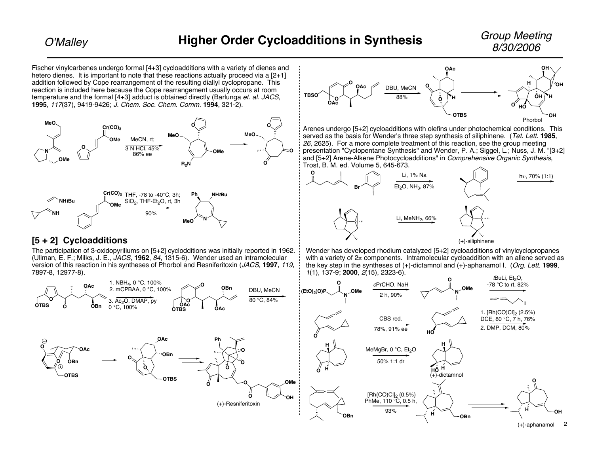Fischer vinylcarbenes undergo formal [4+3] cycloadditions with a variety of dienes and hetero dienes. It is important to note that these reactions actually proceed via a  $[2+1]$ addition followed by Cope rearrangement of the resulting diallyl cyclopropane. This reaction is included here because the Cope rearrangement usually occurs at room temperature and the formal [4+3] adduct is obtained directly (Barlunga et. al. JACS, **1995**, <sup>117</sup>(37), 9419-9426; J. Chem. Soc. Chem. Comm. **1994**, 321-2). **MeO N OMe OMe**  $Cr(CO)_3$ **O O O MeO R2N OMe MeO** MeCN, rt; 3 N HCl, 45% 86% ee **NH NHtBu OMe Cr(CO)3** THF, -78 to -40°C, 3h; **Ph NHtBu N MeO**  $SiO<sub>2</sub>$ , THF-Et<sub>2</sub>O, rt, 3h 90% **O OAc TBSO OAc <sup>O</sup>** 88% Trost, B. M. ed. Volume 5, 645-673. **O Br O O**

### **[5 + 2] Cycloadditions**

The participation of 3-oxidopyriliums on [5+2] cyclodditions was initially reported in 1962. (Ullman, E. F.; Milks, J. E., JACS, **1962**, 84, 1315-6). Wender used an intramolecular version of this reaction in his syntheses of Phorbol and Resniferitoxin (JACS, **1997**, 119, 7897-8, 12977-8).



Arenes undergo [5+2] cycloadditions with olefins under photochemical conditions. This served as the basis for Wender's three step synthesis of siliphinene. (Tet. Lett. **1985**, 26, 2625). For a more complete treatment of this reaction, see the group meeting presentation "Cyclopentane Synthesis" and Wender, P. A.; Siggel, L.; Nuss, J. M. "[3+2] and [5+2] Arene-Alkene Photocycloadditions" in Comprehensive Organic Synthesis,



Wender has developed rhodium catalyzed [5+2] cycloadditions of vinylcyclopropanes with a variety of  $2\pi$  components. Intramolecular cycloaddition with an allene served as the key step in the syntheses of (+)-dictamnol and (+)-aphanamol I. (Org. Lett. **1999**, <sup>1</sup>(1), 137-9; **2000**, 2(15), 2323-6).

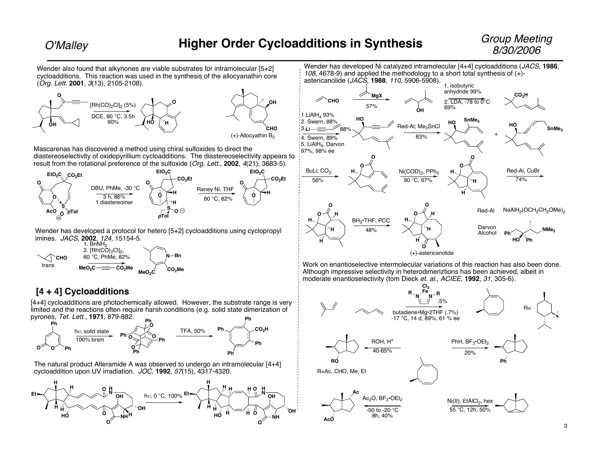Wender also found that alkynones are viable substrates for intramolecular [5+2] cycloadditions. This reaction was used in the synthesis of the allocyanathin core (Org. Lett. **2001**, 3(13), 2105-2108).







Mascarenas has discovered a method using chiral sulfoxides to direct the diastereoselectivity of oxidopyrillium cycloadditions. The diastereoselectivity appears to result from the rotational preference of the sulfoxide (Org. Lett., **2002**, 4(21), 3683-5).



Wender has developed a protocol for hetero [5+2] cycloadditions using cyclopropyl imines. JACS, **2002**, 124, 15154-5.



## **[4 + 4] Cycloadditions**

[4+4] cycloadditions are photochemically allowed. However, the substrate range is very limited and the reactions often require harsh conditions (e.g. solid state dimerization of pyrones, Tet. Lett., **1971**, 879-882.



The natural product Alteramide A was observed to undergo an intramolecular [4+4] cycloaddition upon UV irradiation. JOC, **1992**, 57(15), 4317-4320.





Work on enantioselective intermolecular variations of this reaction has also been done. Although impressive selectivity in heterodimeriztions has been achieved, albeit in moderate enantioselectivity (tom Dieck et. al., ACIEE, **1992**, 31, 305-6).

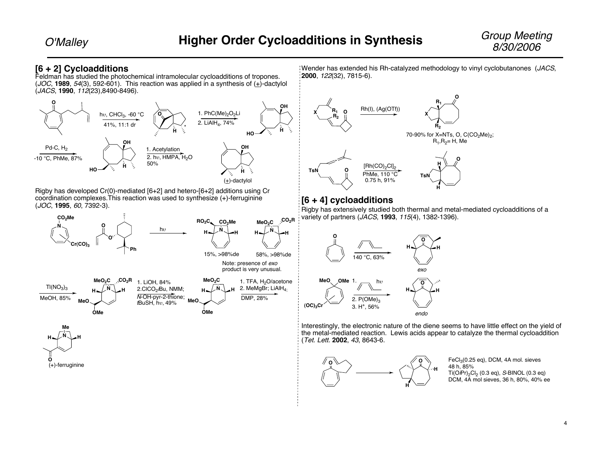#### **[6 + 2] Cycloadditions**

Feldman has studied the photochemical intramolecular cycloadditions of tropones. (JOC, **1989**, 54(3), 592-601). This reaction was applied in a synthesis of (+)-dactylol (JACS, **1990**, 112(23),8490-8496).



Rigby has developed Cr(0)-mediated [6+2] and hetero-[6+2] additions using Cr coordination complexes.This reaction was used to synthesize (+)-ferruginine (JOC, **1995**, 60, 7392-3).





Wender has extended his Rh-catalyzed methodology to vinyl cyclobutanones (JACS, **2000**, 122(32), 7815-6).



#### **[6 + 4] cycloadditions**

Rigby has extensively studied both thermal and metal-mediated cycloadditions of a variety of partners (JACS, **1993**, 115(4), 1382-1396).



Interestingly, the electronic nature of the diene seems to have little effect on the yield of the metal-mediated reaction. Lewis acids appear to catalyze the thermal cycloaddition (Tet. Lett. **2002**, 43, 8643-6.



FeCl 3(0.25 eq), DCM, 4A mol. sieves 48 h, 85% Ti(O/Pr)<sub>2</sub>Cl<sub>2</sub> (0.3 eq), *S*-BINOL (0.3 eq) DCM, 4A mol sieves, 36 h, 80%, 40% ee